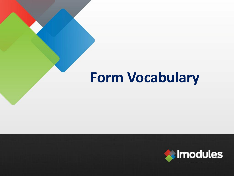## **Form Vocabulary**

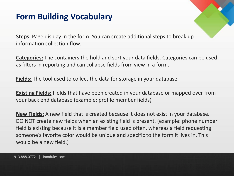#### **Form Building Vocabulary**

**Steps:** Page display in the form. You can create additional steps to break up information collection flow.

**Categories:** The containers the hold and sort your data fields. Categories can be used as filters in reporting and can collapse fields from view in a form.

**Fields:** The tool used to collect the data for storage in your database

**Existing Fields:** Fields that have been created in your database or mapped over from your back end database (example: profile member fields)

**New Fields:** A new field that is created because it does not exist in your database. DO NOT create new fields when an existing field is present. (example: phone number field is existing because it is a member field used often, whereas a field requesting someone's favorite color would be unique and specific to the form it lives in. This would be a new field.)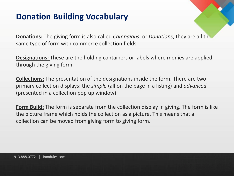### **Donation Building Vocabulary**

**Donations:** The giving form is also called *Campaigns*, or *Donations*, they are all the same type of form with commerce collection fields.

**Designations:** These are the holding containers or labels where monies are applied through the giving form.

**Collections:** The presentation of the designations inside the form. There are two primary collection displays: the *simple* (all on the page in a listing) and *advanced* (presented in a collection pop up window)

**Form Build:** The form is separate from the collection display in giving. The form is like the picture frame which holds the collection as a picture. This means that a collection can be moved from giving form to giving form.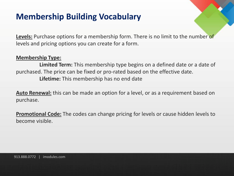### **Membership Building Vocabulary**

**Levels:** Purchase options for a membership form. There is no limit to the number of levels and pricing options you can create for a form.

#### **Membership Type:**

**Limited Term:** This membership type begins on a defined date or a date of purchased. The price can be fixed or pro-rated based on the effective date. **Lifetime:** This membership has no end date

**Auto Renewal:** this can be made an option for a level, or as a requirement based on purchase.

**Promotional Code:** The codes can change pricing for levels or cause hidden levels to become visible.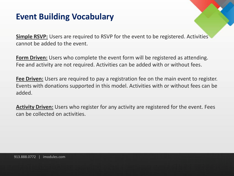#### **Event Building Vocabulary**

**Simple RSVP:** Users are required to RSVP for the event to be registered. Activities cannot be added to the event.

**Form Driven:** Users who complete the event form will be registered as attending. Fee and activity are not required. Activities can be added with or without fees.

**Fee Driven:** Users are required to pay a registration fee on the main event to register. Events with donations supported in this model. Activities with or without fees can be added.

**Activity Driven:** Users who register for any activity are registered for the event. Fees can be collected on activities.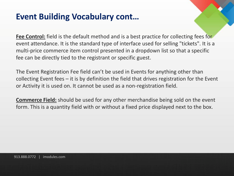#### **Event Building Vocabulary cont…**

**Fee Control:** field is the default method and is a best practice for collecting fees for event attendance. It is the standard type of interface used for selling "tickets". It is a multi-price commerce item control presented in a dropdown list so that a specific fee can be directly tied to the registrant or specific guest.

The Event Registration Fee field can't be used in Events for anything other than collecting Event fees – it is by definition the field that drives registration for the Event or Activity it is used on. It cannot be used as a non-registration field.

**Commerce Field:** should be used for any other merchandise being sold on the event form. This is a quantity field with or without a fixed price displayed next to the box.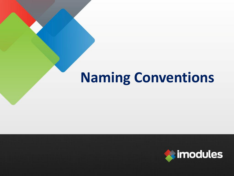# **Naming Conventions**